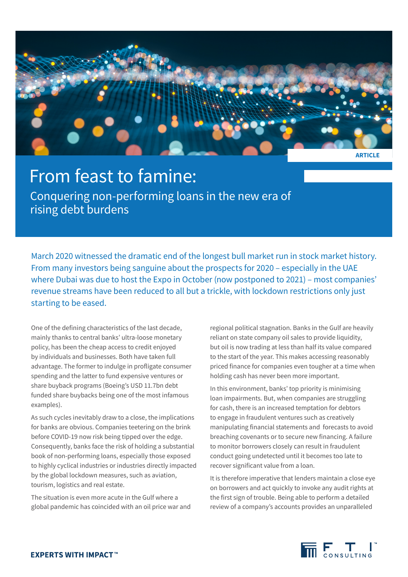

## From feast to famine:

Conquering non-performing loans in the new era of rising debt burdens

March 2020 witnessed the dramatic end of the longest bull market run in stock market history. From many investors being sanguine about the prospects for 2020 – especially in the UAE where Dubai was due to host the Expo in October (now postponed to 2021) – most companies' revenue streams have been reduced to all but a trickle, with lockdown restrictions only just starting to be eased.

One of the defining characteristics of the last decade, mainly thanks to central banks' ultra-loose monetary policy, has been the cheap access to credit enjoyed by individuals and businesses. Both have taken full advantage. The former to indulge in profligate consumer spending and the latter to fund expensive ventures or share buyback programs (Boeing's USD 11.7bn debt funded share buybacks being one of the most infamous examples).

As such cycles inevitably draw to a close, the implications for banks are obvious. Companies teetering on the brink before COVID-19 now risk being tipped over the edge. Consequently, banks face the risk of holding a substantial book of non-performing loans, especially those exposed to highly cyclical industries or industries directly impacted by the global lockdown measures, such as aviation, tourism, logistics and real estate.

The situation is even more acute in the Gulf where a global pandemic has coincided with an oil price war and regional political stagnation. Banks in the Gulf are heavily reliant on state company oil sales to provide liquidity, but oil is now trading at less than half its value compared to the start of the year. This makes accessing reasonably priced finance for companies even tougher at a time when holding cash has never been more important.

In this environment, banks' top priority is minimising loan impairments. But, when companies are struggling for cash, there is an increased temptation for debtors to engage in fraudulent ventures such as creatively manipulating financial statements and forecasts to avoid breaching covenants or to secure new financing. A failure to monitor borrowers closely can result in fraudulent conduct going undetected until it becomes too late to recover significant value from a loan.

It is therefore imperative that lenders maintain a close eye on borrowers and act quickly to invoke any audit rights at the first sign of trouble. Being able to perform a detailed review of a company's accounts provides an unparalleled